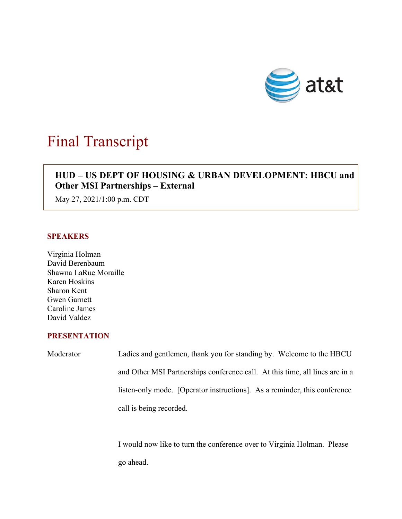

# Final Transcript

# $\overline{\phantom{a}}$ **HUD – US DEPT OF HOUSING & URBAN DEVELOPMENT: HBCU and Other MSI Partnerships – External**

May 27, 2021/1:00 p.m. CDT

### **SPEAKERS**

Virginia Holman David Berenbaum Shawna LaRue Moraille Karen Hoskins Sharon Kent Gwen Garnett Caroline James David Valdez

## **PRESENTATION**

Moderator Ladies and gentlemen, thank you for standing by. Welcome to the HBCU and Other MSI Partnerships conference call. At this time, all lines are in a listen-only mode. [Operator instructions]. As a reminder, this conference call is being recorded.

> I would now like to turn the conference over to Virginia Holman. Please go ahead.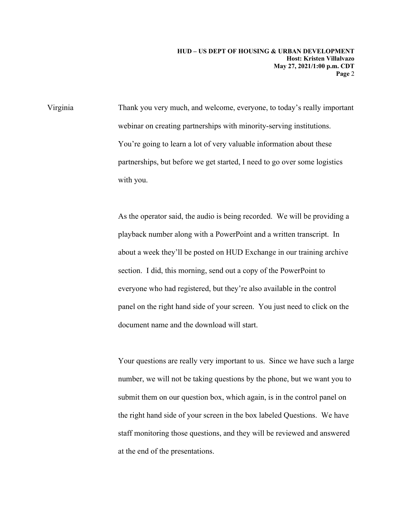Virginia Thank you very much, and welcome, everyone, to today's really important webinar on creating partnerships with minority-serving institutions. You're going to learn a lot of very valuable information about these partnerships, but before we get started, I need to go over some logistics with you.

> As the operator said, the audio is being recorded. We will be providing a playback number along with a PowerPoint and a written transcript. In about a week they'll be posted on HUD Exchange in our training archive section. I did, this morning, send out a copy of the PowerPoint to everyone who had registered, but they're also available in the control panel on the right hand side of your screen. You just need to click on the document name and the download will start.

Your questions are really very important to us. Since we have such a large number, we will not be taking questions by the phone, but we want you to submit them on our question box, which again, is in the control panel on the right hand side of your screen in the box labeled Questions. We have staff monitoring those questions, and they will be reviewed and answered at the end of the presentations.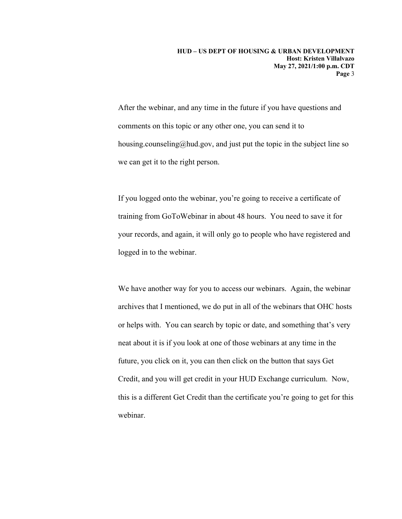After the webinar, and any time in the future if you have questions and comments on this topic or any other one, you can send it to housing.counseling@hud.gov, and just put the topic in the subject line so we can get it to the right person.

If you logged onto the webinar, you're going to receive a certificate of training from GoToWebinar in about 48 hours. You need to save it for your records, and again, it will only go to people who have registered and logged in to the webinar.

We have another way for you to access our webinars. Again, the webinar archives that I mentioned, we do put in all of the webinars that OHC hosts or helps with. You can search by topic or date, and something that's very neat about it is if you look at one of those webinars at any time in the future, you click on it, you can then click on the button that says Get Credit, and you will get credit in your HUD Exchange curriculum. Now, this is a different Get Credit than the certificate you're going to get for this webinar.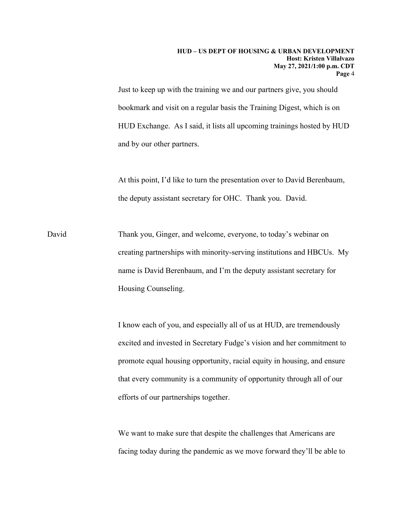Just to keep up with the training we and our partners give, you should bookmark and visit on a regular basis the Training Digest, which is on HUD Exchange. As I said, it lists all upcoming trainings hosted by HUD and by our other partners.

At this point, I'd like to turn the presentation over to David Berenbaum, the deputy assistant secretary for OHC. Thank you. David.

David Thank you, Ginger, and welcome, everyone, to today's webinar on creating partnerships with minority-serving institutions and HBCUs. My name is David Berenbaum, and I'm the deputy assistant secretary for Housing Counseling.

> I know each of you, and especially all of us at HUD, are tremendously excited and invested in Secretary Fudge's vision and her commitment to promote equal housing opportunity, racial equity in housing, and ensure that every community is a community of opportunity through all of our efforts of our partnerships together.

> We want to make sure that despite the challenges that Americans are facing today during the pandemic as we move forward they'll be able to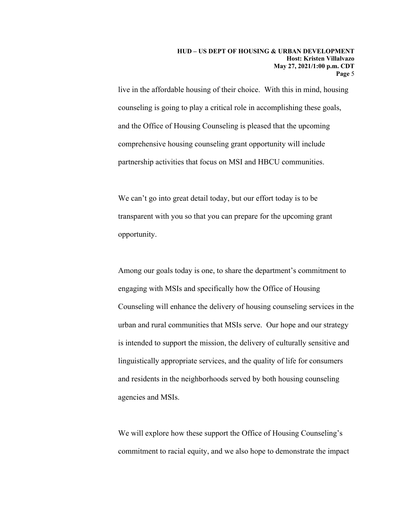live in the affordable housing of their choice. With this in mind, housing counseling is going to play a critical role in accomplishing these goals, and the Office of Housing Counseling is pleased that the upcoming comprehensive housing counseling grant opportunity will include partnership activities that focus on MSI and HBCU communities.

We can't go into great detail today, but our effort today is to be transparent with you so that you can prepare for the upcoming grant opportunity.

Among our goals today is one, to share the department's commitment to engaging with MSIs and specifically how the Office of Housing Counseling will enhance the delivery of housing counseling services in the urban and rural communities that MSIs serve. Our hope and our strategy is intended to support the mission, the delivery of culturally sensitive and linguistically appropriate services, and the quality of life for consumers and residents in the neighborhoods served by both housing counseling agencies and MSIs.

We will explore how these support the Office of Housing Counseling's commitment to racial equity, and we also hope to demonstrate the impact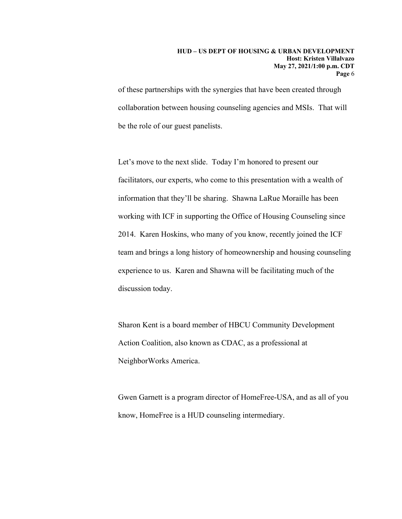of these partnerships with the synergies that have been created through collaboration between housing counseling agencies and MSIs. That will be the role of our guest panelists.

Let's move to the next slide. Today I'm honored to present our facilitators, our experts, who come to this presentation with a wealth of information that they'll be sharing. Shawna LaRue Moraille has been working with ICF in supporting the Office of Housing Counseling since 2014. Karen Hoskins, who many of you know, recently joined the ICF team and brings a long history of homeownership and housing counseling experience to us. Karen and Shawna will be facilitating much of the discussion today.

Sharon Kent is a board member of HBCU Community Development Action Coalition, also known as CDAC, as a professional at NeighborWorks America.

Gwen Garnett is a program director of HomeFree-USA, and as all of you know, HomeFree is a HUD counseling intermediary.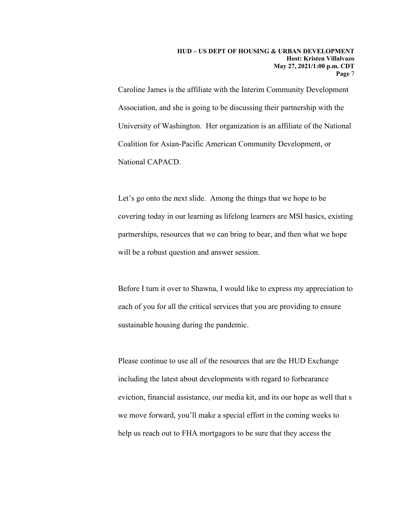Caroline James is the affiliate with the Interim Community Development Association, and she is going to be discussing their partnership with the University of Washington. Her organization is an affiliate of the National Coalition for Asian-Pacific American Community Development, or National CAPACD.

Let's go onto the next slide. Among the things that we hope to be covering today in our learning as lifelong learners are MSI basics, existing partnerships, resources that we can bring to bear, and then what we hope will be a robust question and answer session.

Before I turn it over to Shawna, I would like to express my appreciation to each of you for all the critical services that you are providing to ensure sustainable housing during the pandemic.

Please continue to use all of the resources that are the HUD Exchange including the latest about developments with regard to forbearance eviction, financial assistance, our media kit, and its our hope as well that s we move forward, you'll make a special effort in the coming weeks to help us reach out to FHA mortgagors to be sure that they access the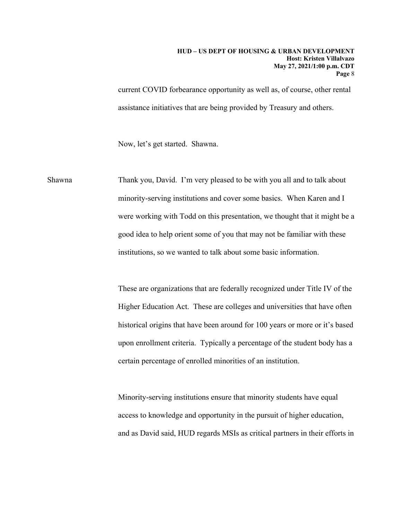current COVID forbearance opportunity as well as, of course, other rental assistance initiatives that are being provided by Treasury and others.

Now, let's get started. Shawna.

Shawna Thank you, David. I'm very pleased to be with you all and to talk about minority-serving institutions and cover some basics. When Karen and I were working with Todd on this presentation, we thought that it might be a good idea to help orient some of you that may not be familiar with these institutions, so we wanted to talk about some basic information.

> These are organizations that are federally recognized under Title IV of the Higher Education Act. These are colleges and universities that have often historical origins that have been around for 100 years or more or it's based upon enrollment criteria. Typically a percentage of the student body has a certain percentage of enrolled minorities of an institution.

> Minority-serving institutions ensure that minority students have equal access to knowledge and opportunity in the pursuit of higher education, and as David said, HUD regards MSIs as critical partners in their efforts in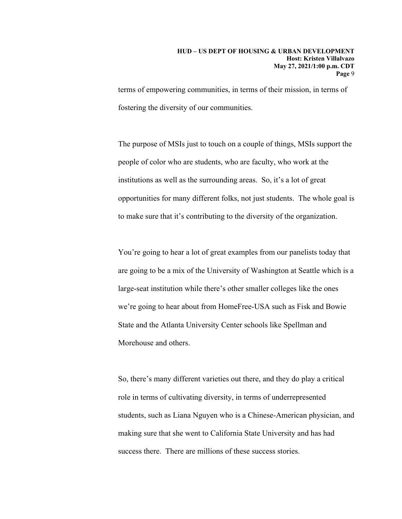terms of empowering communities, in terms of their mission, in terms of fostering the diversity of our communities.

The purpose of MSIs just to touch on a couple of things, MSIs support the people of color who are students, who are faculty, who work at the institutions as well as the surrounding areas. So, it's a lot of great opportunities for many different folks, not just students. The whole goal is to make sure that it's contributing to the diversity of the organization.

You're going to hear a lot of great examples from our panelists today that are going to be a mix of the University of Washington at Seattle which is a large-seat institution while there's other smaller colleges like the ones we're going to hear about from HomeFree-USA such as Fisk and Bowie State and the Atlanta University Center schools like Spellman and Morehouse and others.

So, there's many different varieties out there, and they do play a critical role in terms of cultivating diversity, in terms of underrepresented students, such as Liana Nguyen who is a Chinese-American physician, and making sure that she went to California State University and has had success there. There are millions of these success stories.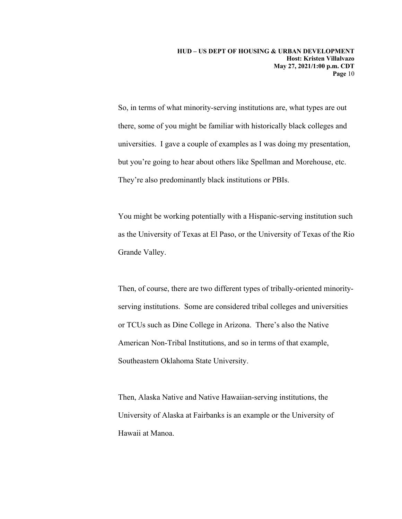So, in terms of what minority-serving institutions are, what types are out there, some of you might be familiar with historically black colleges and universities. I gave a couple of examples as I was doing my presentation, but you're going to hear about others like Spellman and Morehouse, etc. They're also predominantly black institutions or PBIs.

You might be working potentially with a Hispanic-serving institution such as the University of Texas at El Paso, or the University of Texas of the Rio Grande Valley.

Then, of course, there are two different types of tribally-oriented minorityserving institutions. Some are considered tribal colleges and universities or TCUs such as Dine College in Arizona. There's also the Native American Non-Tribal Institutions, and so in terms of that example, Southeastern Oklahoma State University.

Then, Alaska Native and Native Hawaiian-serving institutions, the University of Alaska at Fairbanks is an example or the University of Hawaii at Manoa.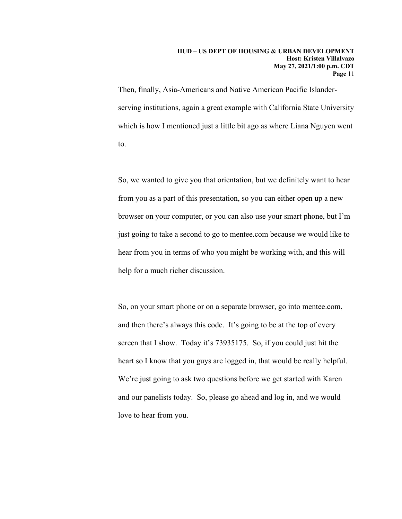Then, finally, Asia-Americans and Native American Pacific Islanderserving institutions, again a great example with California State University which is how I mentioned just a little bit ago as where Liana Nguyen went to.

So, we wanted to give you that orientation, but we definitely want to hear from you as a part of this presentation, so you can either open up a new browser on your computer, or you can also use your smart phone, but I'm just going to take a second to go to mentee.com because we would like to hear from you in terms of who you might be working with, and this will help for a much richer discussion.

So, on your smart phone or on a separate browser, go into mentee.com, and then there's always this code. It's going to be at the top of every screen that I show. Today it's 73935175. So, if you could just hit the heart so I know that you guys are logged in, that would be really helpful. We're just going to ask two questions before we get started with Karen and our panelists today. So, please go ahead and log in, and we would love to hear from you.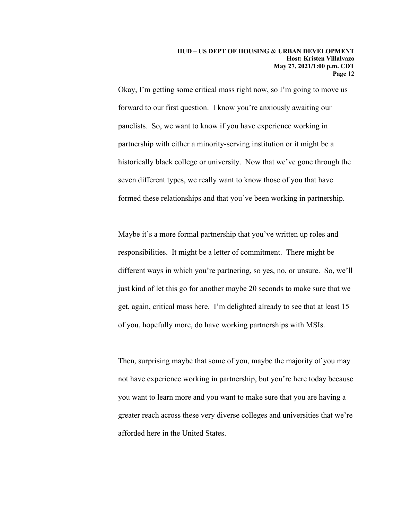Okay, I'm getting some critical mass right now, so I'm going to move us forward to our first question. I know you're anxiously awaiting our panelists. So, we want to know if you have experience working in partnership with either a minority-serving institution or it might be a historically black college or university. Now that we've gone through the seven different types, we really want to know those of you that have formed these relationships and that you've been working in partnership.

Maybe it's a more formal partnership that you've written up roles and responsibilities. It might be a letter of commitment. There might be different ways in which you're partnering, so yes, no, or unsure. So, we'll just kind of let this go for another maybe 20 seconds to make sure that we get, again, critical mass here. I'm delighted already to see that at least 15 of you, hopefully more, do have working partnerships with MSIs.

Then, surprising maybe that some of you, maybe the majority of you may not have experience working in partnership, but you're here today because you want to learn more and you want to make sure that you are having a greater reach across these very diverse colleges and universities that we're afforded here in the United States.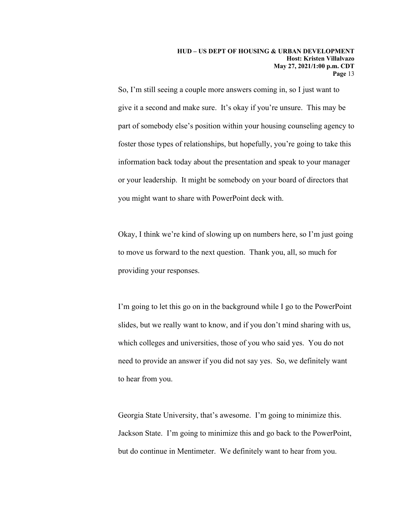So, I'm still seeing a couple more answers coming in, so I just want to give it a second and make sure. It's okay if you're unsure. This may be part of somebody else's position within your housing counseling agency to foster those types of relationships, but hopefully, you're going to take this information back today about the presentation and speak to your manager or your leadership. It might be somebody on your board of directors that you might want to share with PowerPoint deck with.

Okay, I think we're kind of slowing up on numbers here, so I'm just going to move us forward to the next question. Thank you, all, so much for providing your responses.

I'm going to let this go on in the background while I go to the PowerPoint slides, but we really want to know, and if you don't mind sharing with us, which colleges and universities, those of you who said yes. You do not need to provide an answer if you did not say yes. So, we definitely want to hear from you.

Georgia State University, that's awesome. I'm going to minimize this. Jackson State. I'm going to minimize this and go back to the PowerPoint, but do continue in Mentimeter. We definitely want to hear from you.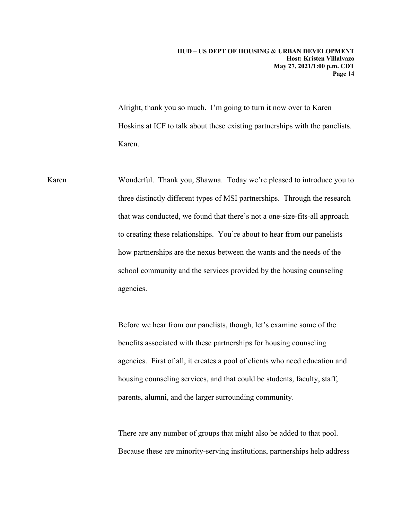Alright, thank you so much. I'm going to turn it now over to Karen Hoskins at ICF to talk about these existing partnerships with the panelists. Karen.

Karen Wonderful. Thank you, Shawna. Today we're pleased to introduce you to three distinctly different types of MSI partnerships. Through the research that was conducted, we found that there's not a one-size-fits-all approach to creating these relationships. You're about to hear from our panelists how partnerships are the nexus between the wants and the needs of the school community and the services provided by the housing counseling agencies.

> Before we hear from our panelists, though, let's examine some of the benefits associated with these partnerships for housing counseling agencies. First of all, it creates a pool of clients who need education and housing counseling services, and that could be students, faculty, staff, parents, alumni, and the larger surrounding community.

> There are any number of groups that might also be added to that pool. Because these are minority-serving institutions, partnerships help address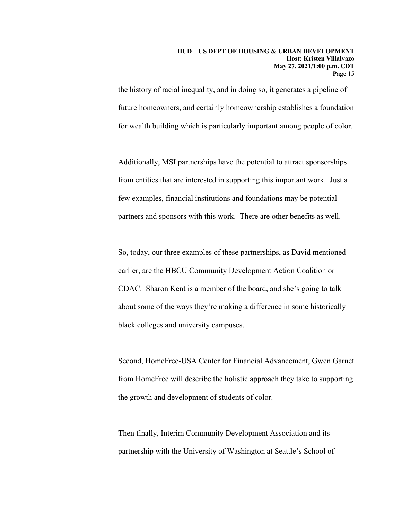the history of racial inequality, and in doing so, it generates a pipeline of future homeowners, and certainly homeownership establishes a foundation for wealth building which is particularly important among people of color.

Additionally, MSI partnerships have the potential to attract sponsorships from entities that are interested in supporting this important work. Just a few examples, financial institutions and foundations may be potential partners and sponsors with this work. There are other benefits as well.

So, today, our three examples of these partnerships, as David mentioned earlier, are the HBCU Community Development Action Coalition or CDAC. Sharon Kent is a member of the board, and she's going to talk about some of the ways they're making a difference in some historically black colleges and university campuses.

Second, HomeFree-USA Center for Financial Advancement, Gwen Garnet from HomeFree will describe the holistic approach they take to supporting the growth and development of students of color.

Then finally, Interim Community Development Association and its partnership with the University of Washington at Seattle's School of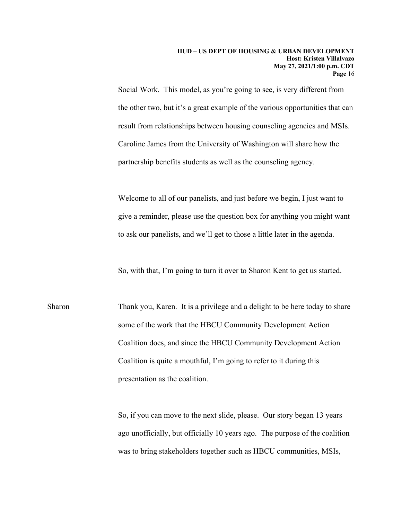Social Work. This model, as you're going to see, is very different from the other two, but it's a great example of the various opportunities that can result from relationships between housing counseling agencies and MSIs. Caroline James from the University of Washington will share how the partnership benefits students as well as the counseling agency.

Welcome to all of our panelists, and just before we begin, I just want to give a reminder, please use the question box for anything you might want to ask our panelists, and we'll get to those a little later in the agenda.

So, with that, I'm going to turn it over to Sharon Kent to get us started.

Sharon Thank you, Karen. It is a privilege and a delight to be here today to share some of the work that the HBCU Community Development Action Coalition does, and since the HBCU Community Development Action Coalition is quite a mouthful, I'm going to refer to it during this presentation as the coalition.

> So, if you can move to the next slide, please. Our story began 13 years ago unofficially, but officially 10 years ago. The purpose of the coalition was to bring stakeholders together such as HBCU communities, MSIs,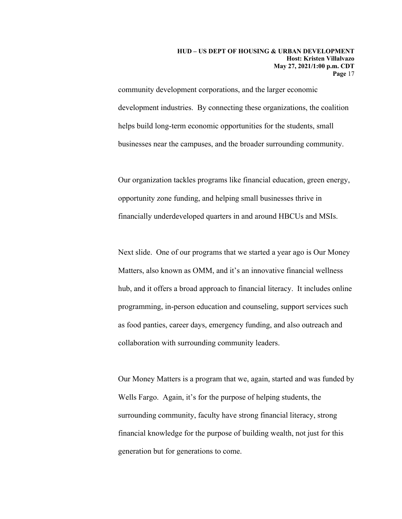community development corporations, and the larger economic development industries. By connecting these organizations, the coalition helps build long-term economic opportunities for the students, small businesses near the campuses, and the broader surrounding community.

Our organization tackles programs like financial education, green energy, opportunity zone funding, and helping small businesses thrive in financially underdeveloped quarters in and around HBCUs and MSIs.

Next slide. One of our programs that we started a year ago is Our Money Matters, also known as OMM, and it's an innovative financial wellness hub, and it offers a broad approach to financial literacy. It includes online programming, in-person education and counseling, support services such as food panties, career days, emergency funding, and also outreach and collaboration with surrounding community leaders.

Our Money Matters is a program that we, again, started and was funded by Wells Fargo. Again, it's for the purpose of helping students, the surrounding community, faculty have strong financial literacy, strong financial knowledge for the purpose of building wealth, not just for this generation but for generations to come.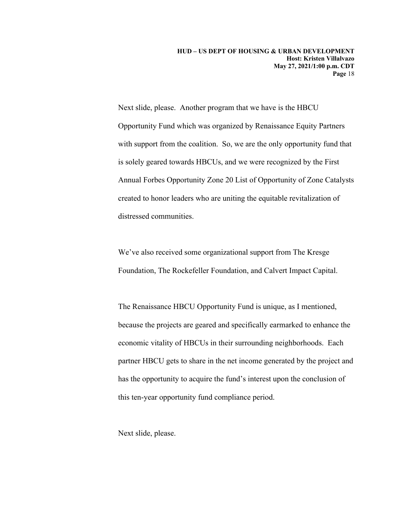Next slide, please. Another program that we have is the HBCU Opportunity Fund which was organized by Renaissance Equity Partners with support from the coalition. So, we are the only opportunity fund that is solely geared towards HBCUs, and we were recognized by the First Annual Forbes Opportunity Zone 20 List of Opportunity of Zone Catalysts created to honor leaders who are uniting the equitable revitalization of distressed communities.

We've also received some organizational support from The Kresge Foundation, The Rockefeller Foundation, and Calvert Impact Capital.

The Renaissance HBCU Opportunity Fund is unique, as I mentioned, because the projects are geared and specifically earmarked to enhance the economic vitality of HBCUs in their surrounding neighborhoods. Each partner HBCU gets to share in the net income generated by the project and has the opportunity to acquire the fund's interest upon the conclusion of this ten-year opportunity fund compliance period.

Next slide, please.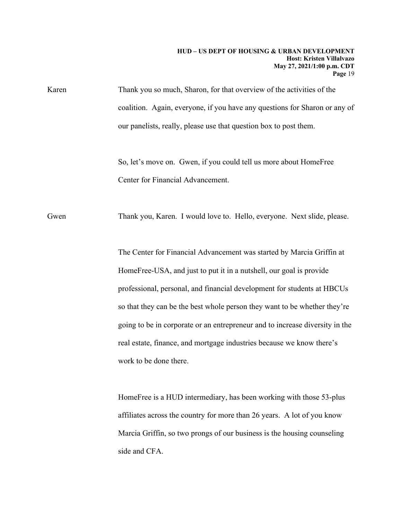Karen Thank you so much, Sharon, for that overview of the activities of the coalition. Again, everyone, if you have any questions for Sharon or any of our panelists, really, please use that question box to post them.

> So, let's move on. Gwen, if you could tell us more about HomeFree Center for Financial Advancement.

Gwen Thank you, Karen. I would love to. Hello, everyone. Next slide, please.

The Center for Financial Advancement was started by Marcia Griffin at HomeFree-USA, and just to put it in a nutshell, our goal is provide professional, personal, and financial development for students at HBCUs so that they can be the best whole person they want to be whether they're going to be in corporate or an entrepreneur and to increase diversity in the real estate, finance, and mortgage industries because we know there's work to be done there.

HomeFree is a HUD intermediary, has been working with those 53-plus affiliates across the country for more than 26 years. A lot of you know Marcia Griffin, so two prongs of our business is the housing counseling side and CFA.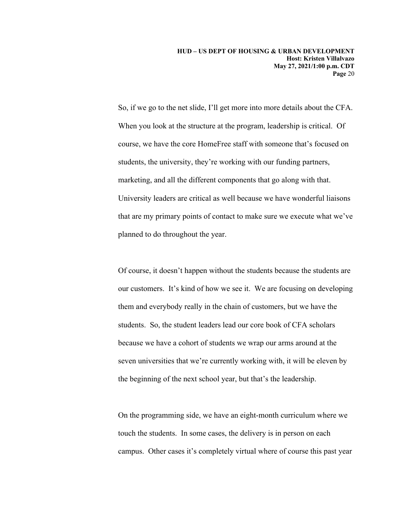So, if we go to the net slide, I'll get more into more details about the CFA. When you look at the structure at the program, leadership is critical. Of course, we have the core HomeFree staff with someone that's focused on students, the university, they're working with our funding partners, marketing, and all the different components that go along with that. University leaders are critical as well because we have wonderful liaisons that are my primary points of contact to make sure we execute what we've planned to do throughout the year.

Of course, it doesn't happen without the students because the students are our customers. It's kind of how we see it. We are focusing on developing them and everybody really in the chain of customers, but we have the students. So, the student leaders lead our core book of CFA scholars because we have a cohort of students we wrap our arms around at the seven universities that we're currently working with, it will be eleven by the beginning of the next school year, but that's the leadership.

On the programming side, we have an eight-month curriculum where we touch the students. In some cases, the delivery is in person on each campus. Other cases it's completely virtual where of course this past year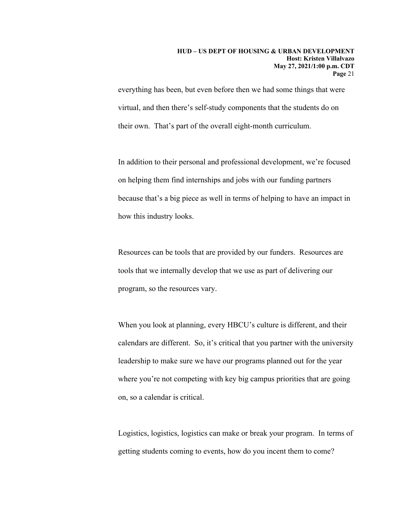everything has been, but even before then we had some things that were virtual, and then there's self-study components that the students do on their own. That's part of the overall eight-month curriculum.

In addition to their personal and professional development, we're focused on helping them find internships and jobs with our funding partners because that's a big piece as well in terms of helping to have an impact in how this industry looks.

Resources can be tools that are provided by our funders. Resources are tools that we internally develop that we use as part of delivering our program, so the resources vary.

When you look at planning, every HBCU's culture is different, and their calendars are different. So, it's critical that you partner with the university leadership to make sure we have our programs planned out for the year where you're not competing with key big campus priorities that are going on, so a calendar is critical.

Logistics, logistics, logistics can make or break your program. In terms of getting students coming to events, how do you incent them to come?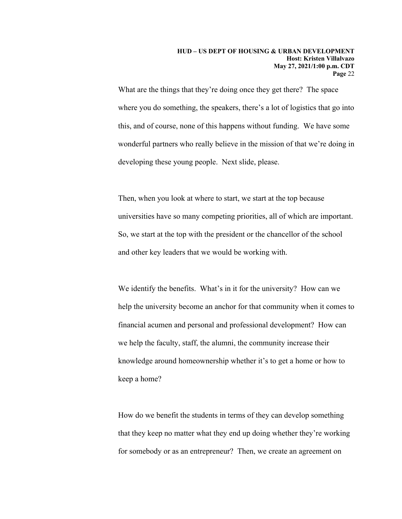What are the things that they're doing once they get there? The space where you do something, the speakers, there's a lot of logistics that go into this, and of course, none of this happens without funding. We have some wonderful partners who really believe in the mission of that we're doing in developing these young people. Next slide, please.

Then, when you look at where to start, we start at the top because universities have so many competing priorities, all of which are important. So, we start at the top with the president or the chancellor of the school and other key leaders that we would be working with.

We identify the benefits. What's in it for the university? How can we help the university become an anchor for that community when it comes to financial acumen and personal and professional development? How can we help the faculty, staff, the alumni, the community increase their knowledge around homeownership whether it's to get a home or how to keep a home?

How do we benefit the students in terms of they can develop something that they keep no matter what they end up doing whether they're working for somebody or as an entrepreneur? Then, we create an agreement on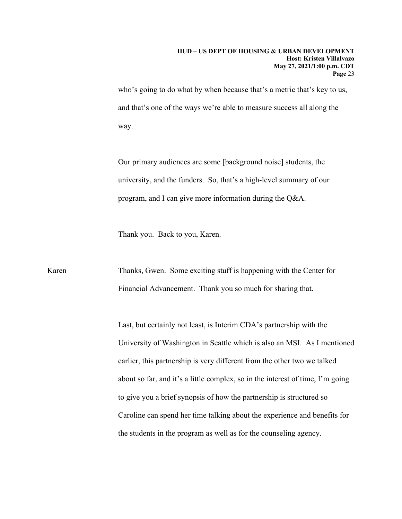who's going to do what by when because that's a metric that's key to us, and that's one of the ways we're able to measure success all along the way.

Our primary audiences are some [background noise] students, the university, and the funders. So, that's a high-level summary of our program, and I can give more information during the Q&A.

Thank you. Back to you, Karen.

Karen Thanks, Gwen. Some exciting stuff is happening with the Center for Financial Advancement. Thank you so much for sharing that.

> Last, but certainly not least, is Interim CDA's partnership with the University of Washington in Seattle which is also an MSI. As I mentioned earlier, this partnership is very different from the other two we talked about so far, and it's a little complex, so in the interest of time, I'm going to give you a brief synopsis of how the partnership is structured so Caroline can spend her time talking about the experience and benefits for the students in the program as well as for the counseling agency.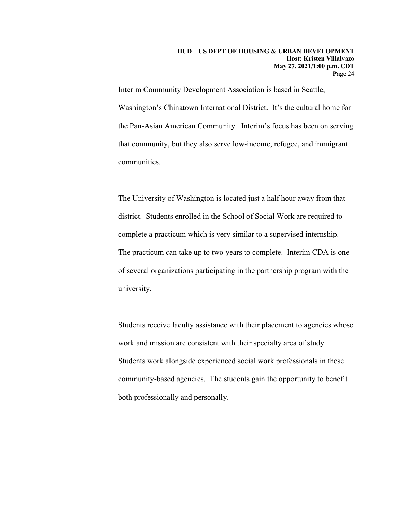Interim Community Development Association is based in Seattle, Washington's Chinatown International District. It's the cultural home for the Pan-Asian American Community. Interim's focus has been on serving that community, but they also serve low-income, refugee, and immigrant communities.

The University of Washington is located just a half hour away from that district. Students enrolled in the School of Social Work are required to complete a practicum which is very similar to a supervised internship. The practicum can take up to two years to complete. Interim CDA is one of several organizations participating in the partnership program with the university.

Students receive faculty assistance with their placement to agencies whose work and mission are consistent with their specialty area of study. Students work alongside experienced social work professionals in these community-based agencies. The students gain the opportunity to benefit both professionally and personally.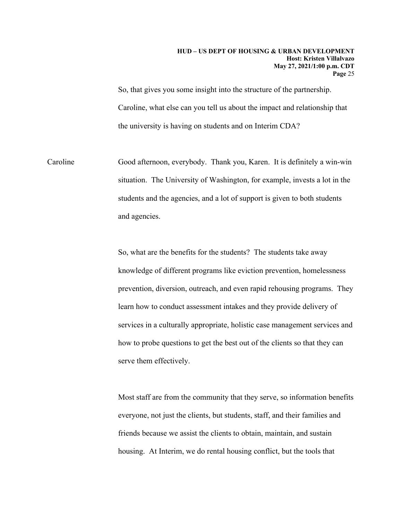So, that gives you some insight into the structure of the partnership. Caroline, what else can you tell us about the impact and relationship that the university is having on students and on Interim CDA?

Caroline Good afternoon, everybody. Thank you, Karen. It is definitely a win-win situation. The University of Washington, for example, invests a lot in the students and the agencies, and a lot of support is given to both students and agencies.

> So, what are the benefits for the students? The students take away knowledge of different programs like eviction prevention, homelessness prevention, diversion, outreach, and even rapid rehousing programs. They learn how to conduct assessment intakes and they provide delivery of services in a culturally appropriate, holistic case management services and how to probe questions to get the best out of the clients so that they can serve them effectively.

> Most staff are from the community that they serve, so information benefits everyone, not just the clients, but students, staff, and their families and friends because we assist the clients to obtain, maintain, and sustain housing. At Interim, we do rental housing conflict, but the tools that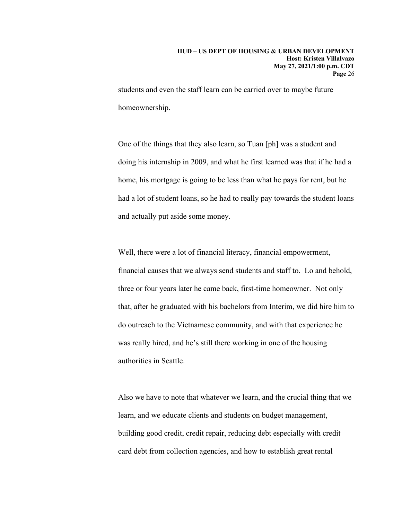students and even the staff learn can be carried over to maybe future homeownership.

One of the things that they also learn, so Tuan [ph] was a student and doing his internship in 2009, and what he first learned was that if he had a home, his mortgage is going to be less than what he pays for rent, but he had a lot of student loans, so he had to really pay towards the student loans and actually put aside some money.

Well, there were a lot of financial literacy, financial empowerment, financial causes that we always send students and staff to. Lo and behold, three or four years later he came back, first-time homeowner. Not only that, after he graduated with his bachelors from Interim, we did hire him to do outreach to the Vietnamese community, and with that experience he was really hired, and he's still there working in one of the housing authorities in Seattle.

Also we have to note that whatever we learn, and the crucial thing that we learn, and we educate clients and students on budget management, building good credit, credit repair, reducing debt especially with credit card debt from collection agencies, and how to establish great rental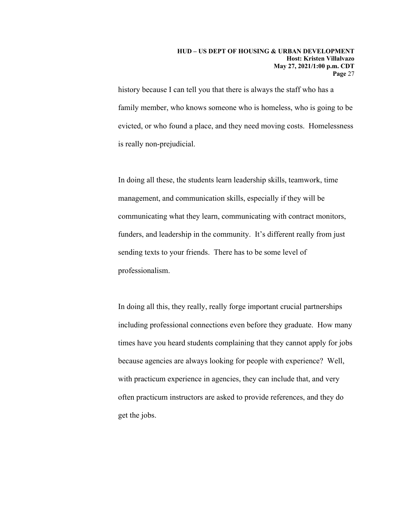history because I can tell you that there is always the staff who has a family member, who knows someone who is homeless, who is going to be evicted, or who found a place, and they need moving costs. Homelessness is really non-prejudicial.

In doing all these, the students learn leadership skills, teamwork, time management, and communication skills, especially if they will be communicating what they learn, communicating with contract monitors, funders, and leadership in the community. It's different really from just sending texts to your friends. There has to be some level of professionalism.

In doing all this, they really, really forge important crucial partnerships including professional connections even before they graduate. How many times have you heard students complaining that they cannot apply for jobs because agencies are always looking for people with experience? Well, with practicum experience in agencies, they can include that, and very often practicum instructors are asked to provide references, and they do get the jobs.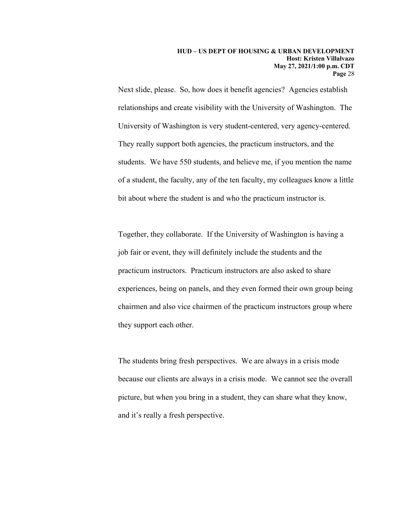Next slide, please. So, how does it benefit agencies? Agencies establish relationships and create visibility with the University of Washington. The University of Washington is very student-centered, very agency-centered. They really support both agencies, the practicum instructors, and the students. We have 550 students, and believe me, if you mention the name of a student, the faculty, any of the ten faculty, my colleagues know a little bit about where the student is and who the practicum instructor is.

Together, they collaborate. If the University of Washington is having a job fair or event, they will definitely include the students and the practicum instructors. Practicum instructors are also asked to share experiences, being on panels, and they even formed their own group being chairmen and also vice chairmen of the practicum instructors group where they support each other.

The students bring fresh perspectives. We are always in a crisis mode because our clients are always in a crisis mode. We cannot see the overall picture, but when you bring in a student, they can share what they know, and it's really a fresh perspective.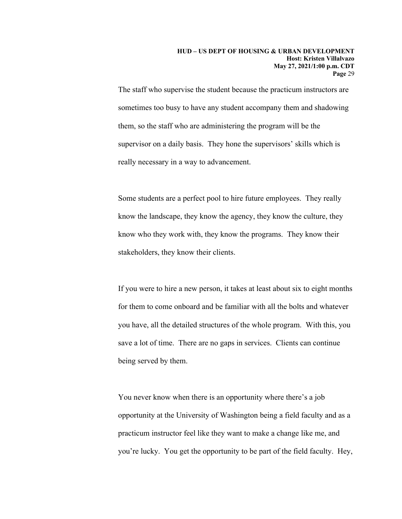The staff who supervise the student because the practicum instructors are sometimes too busy to have any student accompany them and shadowing them, so the staff who are administering the program will be the supervisor on a daily basis. They hone the supervisors' skills which is really necessary in a way to advancement.

Some students are a perfect pool to hire future employees. They really know the landscape, they know the agency, they know the culture, they know who they work with, they know the programs. They know their stakeholders, they know their clients.

If you were to hire a new person, it takes at least about six to eight months for them to come onboard and be familiar with all the bolts and whatever you have, all the detailed structures of the whole program. With this, you save a lot of time. There are no gaps in services. Clients can continue being served by them.

You never know when there is an opportunity where there's a job opportunity at the University of Washington being a field faculty and as a practicum instructor feel like they want to make a change like me, and you're lucky. You get the opportunity to be part of the field faculty. Hey,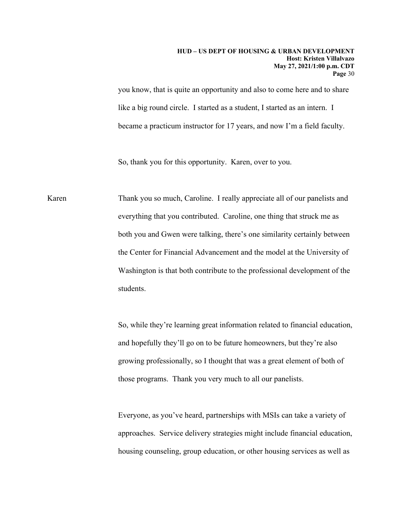you know, that is quite an opportunity and also to come here and to share like a big round circle. I started as a student, I started as an intern. I became a practicum instructor for 17 years, and now I'm a field faculty.

So, thank you for this opportunity. Karen, over to you.

Karen Thank you so much, Caroline. I really appreciate all of our panelists and everything that you contributed. Caroline, one thing that struck me as both you and Gwen were talking, there's one similarity certainly between the Center for Financial Advancement and the model at the University of Washington is that both contribute to the professional development of the students.

> So, while they're learning great information related to financial education, and hopefully they'll go on to be future homeowners, but they're also growing professionally, so I thought that was a great element of both of those programs. Thank you very much to all our panelists.

> Everyone, as you've heard, partnerships with MSIs can take a variety of approaches. Service delivery strategies might include financial education, housing counseling, group education, or other housing services as well as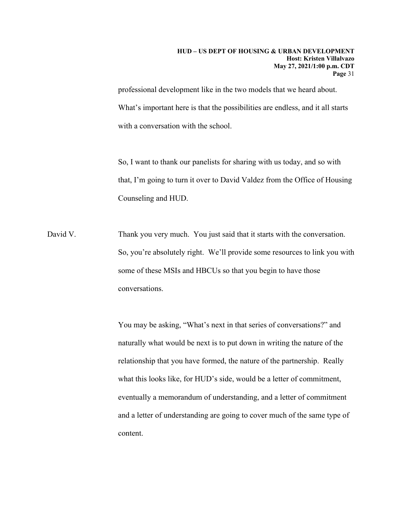professional development like in the two models that we heard about. What's important here is that the possibilities are endless, and it all starts with a conversation with the school.

So, I want to thank our panelists for sharing with us today, and so with that, I'm going to turn it over to David Valdez from the Office of Housing Counseling and HUD.

David V. Thank you very much. You just said that it starts with the conversation. So, you're absolutely right. We'll provide some resources to link you with some of these MSIs and HBCUs so that you begin to have those conversations.

> You may be asking, "What's next in that series of conversations?" and naturally what would be next is to put down in writing the nature of the relationship that you have formed, the nature of the partnership. Really what this looks like, for HUD's side, would be a letter of commitment, eventually a memorandum of understanding, and a letter of commitment and a letter of understanding are going to cover much of the same type of content.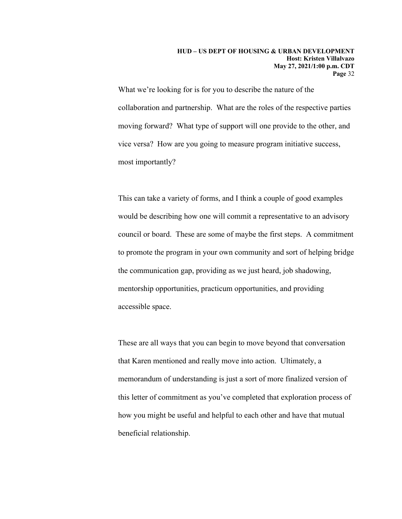What we're looking for is for you to describe the nature of the collaboration and partnership. What are the roles of the respective parties moving forward? What type of support will one provide to the other, and vice versa? How are you going to measure program initiative success, most importantly?

This can take a variety of forms, and I think a couple of good examples would be describing how one will commit a representative to an advisory council or board. These are some of maybe the first steps. A commitment to promote the program in your own community and sort of helping bridge the communication gap, providing as we just heard, job shadowing, mentorship opportunities, practicum opportunities, and providing accessible space.

These are all ways that you can begin to move beyond that conversation that Karen mentioned and really move into action. Ultimately, a memorandum of understanding is just a sort of more finalized version of this letter of commitment as you've completed that exploration process of how you might be useful and helpful to each other and have that mutual beneficial relationship.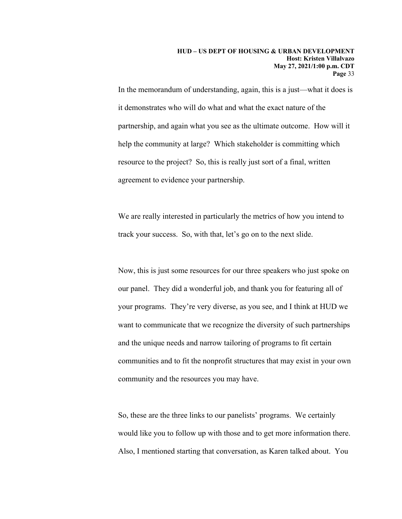In the memorandum of understanding, again, this is a just—what it does is it demonstrates who will do what and what the exact nature of the partnership, and again what you see as the ultimate outcome. How will it help the community at large? Which stakeholder is committing which resource to the project? So, this is really just sort of a final, written agreement to evidence your partnership.

We are really interested in particularly the metrics of how you intend to track your success. So, with that, let's go on to the next slide.

Now, this is just some resources for our three speakers who just spoke on our panel. They did a wonderful job, and thank you for featuring all of your programs. They're very diverse, as you see, and I think at HUD we want to communicate that we recognize the diversity of such partnerships and the unique needs and narrow tailoring of programs to fit certain communities and to fit the nonprofit structures that may exist in your own community and the resources you may have.

So, these are the three links to our panelists' programs. We certainly would like you to follow up with those and to get more information there. Also, I mentioned starting that conversation, as Karen talked about. You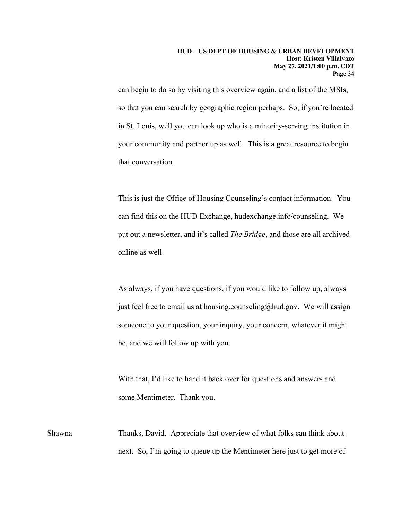can begin to do so by visiting this overview again, and a list of the MSIs, so that you can search by geographic region perhaps. So, if you're located in St. Louis, well you can look up who is a minority-serving institution in your community and partner up as well. This is a great resource to begin that conversation.

This is just the Office of Housing Counseling's contact information. You can find this on the HUD Exchange, hudexchange.info/counseling. We put out a newsletter, and it's called *The Bridge*, and those are all archived online as well.

As always, if you have questions, if you would like to follow up, always just feel free to email us at housing.counseling@hud.gov. We will assign someone to your question, your inquiry, your concern, whatever it might be, and we will follow up with you.

With that, I'd like to hand it back over for questions and answers and some Mentimeter. Thank you.

Shawna Thanks, David. Appreciate that overview of what folks can think about next. So, I'm going to queue up the Mentimeter here just to get more of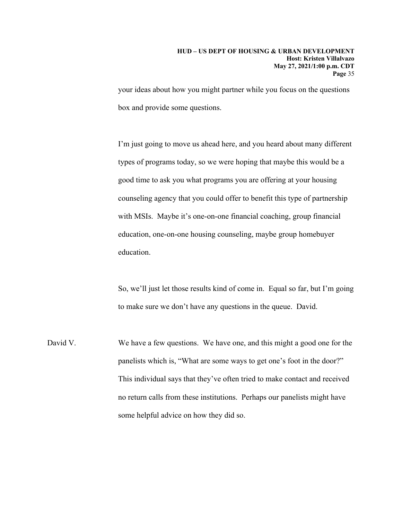your ideas about how you might partner while you focus on the questions box and provide some questions.

I'm just going to move us ahead here, and you heard about many different types of programs today, so we were hoping that maybe this would be a good time to ask you what programs you are offering at your housing counseling agency that you could offer to benefit this type of partnership with MSIs. Maybe it's one-on-one financial coaching, group financial education, one-on-one housing counseling, maybe group homebuyer education.

So, we'll just let those results kind of come in. Equal so far, but I'm going to make sure we don't have any questions in the queue. David.

David V. We have a few questions. We have one, and this might a good one for the panelists which is, "What are some ways to get one's foot in the door?" This individual says that they've often tried to make contact and received no return calls from these institutions. Perhaps our panelists might have some helpful advice on how they did so.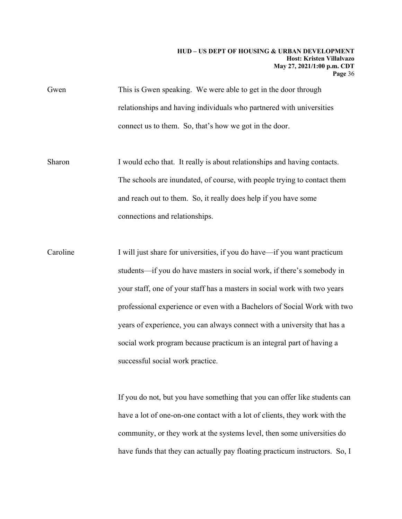Gwen This is Gwen speaking. We were able to get in the door through relationships and having individuals who partnered with universities connect us to them. So, that's how we got in the door.

Sharon I would echo that. It really is about relationships and having contacts. The schools are inundated, of course, with people trying to contact them and reach out to them. So, it really does help if you have some connections and relationships.

Caroline I will just share for universities, if you do have—if you want practicum students—if you do have masters in social work, if there's somebody in your staff, one of your staff has a masters in social work with two years professional experience or even with a Bachelors of Social Work with two years of experience, you can always connect with a university that has a social work program because practicum is an integral part of having a successful social work practice.

> If you do not, but you have something that you can offer like students can have a lot of one-on-one contact with a lot of clients, they work with the community, or they work at the systems level, then some universities do have funds that they can actually pay floating practicum instructors. So, I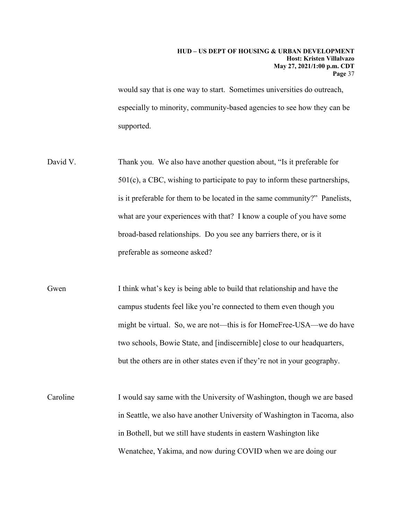would say that is one way to start. Sometimes universities do outreach, especially to minority, community-based agencies to see how they can be supported.

- David V. Thank you. We also have another question about, "Is it preferable for 501(c), a CBC, wishing to participate to pay to inform these partnerships, is it preferable for them to be located in the same community?" Panelists, what are your experiences with that? I know a couple of you have some broad-based relationships. Do you see any barriers there, or is it preferable as someone asked?
- Gwen I think what's key is being able to build that relationship and have the campus students feel like you're connected to them even though you might be virtual. So, we are not—this is for HomeFree-USA—we do have two schools, Bowie State, and [indiscernible] close to our headquarters, but the others are in other states even if they're not in your geography.
- Caroline I would say same with the University of Washington, though we are based in Seattle, we also have another University of Washington in Tacoma, also in Bothell, but we still have students in eastern Washington like Wenatchee, Yakima, and now during COVID when we are doing our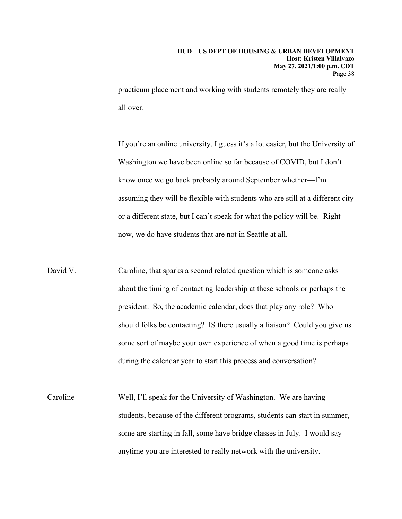practicum placement and working with students remotely they are really all over.

If you're an online university, I guess it's a lot easier, but the University of Washington we have been online so far because of COVID, but I don't know once we go back probably around September whether—I'm assuming they will be flexible with students who are still at a different city or a different state, but I can't speak for what the policy will be. Right now, we do have students that are not in Seattle at all.

- David V. Caroline, that sparks a second related question which is someone asks about the timing of contacting leadership at these schools or perhaps the president. So, the academic calendar, does that play any role? Who should folks be contacting? IS there usually a liaison? Could you give us some sort of maybe your own experience of when a good time is perhaps during the calendar year to start this process and conversation?
- Caroline Well, I'll speak for the University of Washington. We are having students, because of the different programs, students can start in summer, some are starting in fall, some have bridge classes in July. I would say anytime you are interested to really network with the university.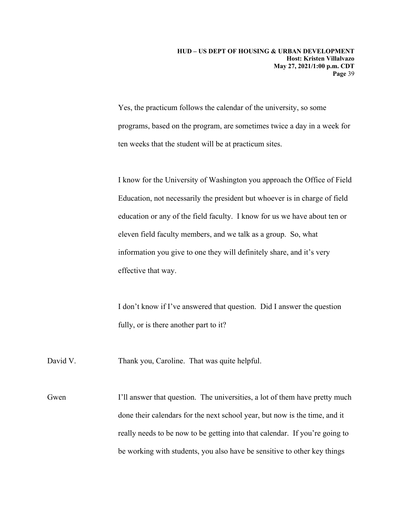Yes, the practicum follows the calendar of the university, so some programs, based on the program, are sometimes twice a day in a week for ten weeks that the student will be at practicum sites.

I know for the University of Washington you approach the Office of Field Education, not necessarily the president but whoever is in charge of field education or any of the field faculty. I know for us we have about ten or eleven field faculty members, and we talk as a group. So, what information you give to one they will definitely share, and it's very effective that way.

I don't know if I've answered that question. Did I answer the question fully, or is there another part to it?

David V. Thank you, Caroline. That was quite helpful.

Gwen I'll answer that question. The universities, a lot of them have pretty much done their calendars for the next school year, but now is the time, and it really needs to be now to be getting into that calendar. If you're going to be working with students, you also have be sensitive to other key things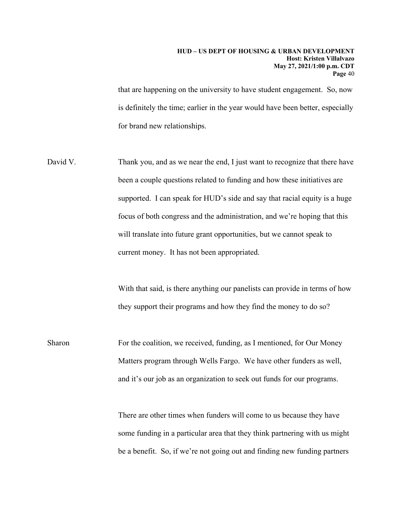that are happening on the university to have student engagement. So, now is definitely the time; earlier in the year would have been better, especially for brand new relationships.

David V. Thank you, and as we near the end, I just want to recognize that there have been a couple questions related to funding and how these initiatives are supported. I can speak for HUD's side and say that racial equity is a huge focus of both congress and the administration, and we're hoping that this will translate into future grant opportunities, but we cannot speak to current money. It has not been appropriated.

> With that said, is there anything our panelists can provide in terms of how they support their programs and how they find the money to do so?

Sharon For the coalition, we received, funding, as I mentioned, for Our Money Matters program through Wells Fargo. We have other funders as well, and it's our job as an organization to seek out funds for our programs.

> There are other times when funders will come to us because they have some funding in a particular area that they think partnering with us might be a benefit. So, if we're not going out and finding new funding partners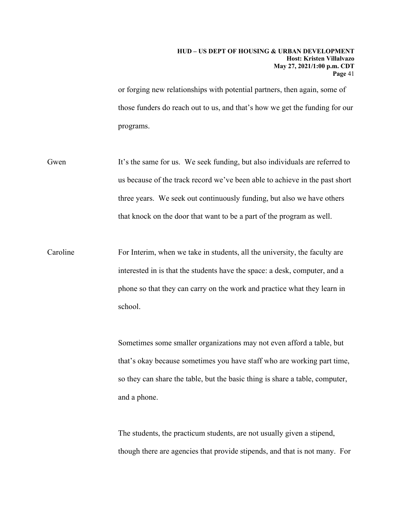or forging new relationships with potential partners, then again, some of those funders do reach out to us, and that's how we get the funding for our programs.

- Gwen It's the same for us. We seek funding, but also individuals are referred to us because of the track record we've been able to achieve in the past short three years. We seek out continuously funding, but also we have others that knock on the door that want to be a part of the program as well.
- Caroline For Interim, when we take in students, all the university, the faculty are interested in is that the students have the space: a desk, computer, and a phone so that they can carry on the work and practice what they learn in school.

Sometimes some smaller organizations may not even afford a table, but that's okay because sometimes you have staff who are working part time, so they can share the table, but the basic thing is share a table, computer, and a phone.

The students, the practicum students, are not usually given a stipend, though there are agencies that provide stipends, and that is not many. For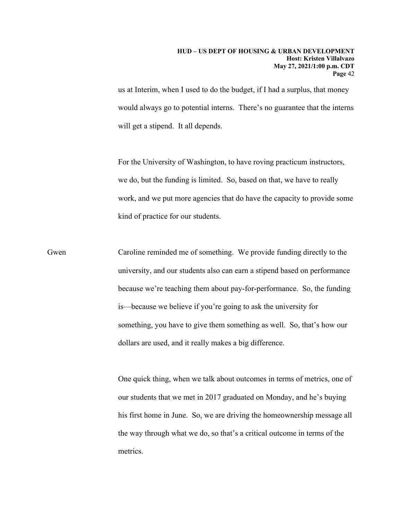us at Interim, when I used to do the budget, if I had a surplus, that money would always go to potential interns. There's no guarantee that the interns will get a stipend. It all depends.

For the University of Washington, to have roving practicum instructors, we do, but the funding is limited. So, based on that, we have to really work, and we put more agencies that do have the capacity to provide some kind of practice for our students.

Gwen Caroline reminded me of something. We provide funding directly to the university, and our students also can earn a stipend based on performance because we're teaching them about pay-for-performance. So, the funding is—because we believe if you're going to ask the university for something, you have to give them something as well. So, that's how our dollars are used, and it really makes a big difference.

> One quick thing, when we talk about outcomes in terms of metrics, one of our students that we met in 2017 graduated on Monday, and he's buying his first home in June. So, we are driving the homeownership message all the way through what we do, so that's a critical outcome in terms of the metrics.